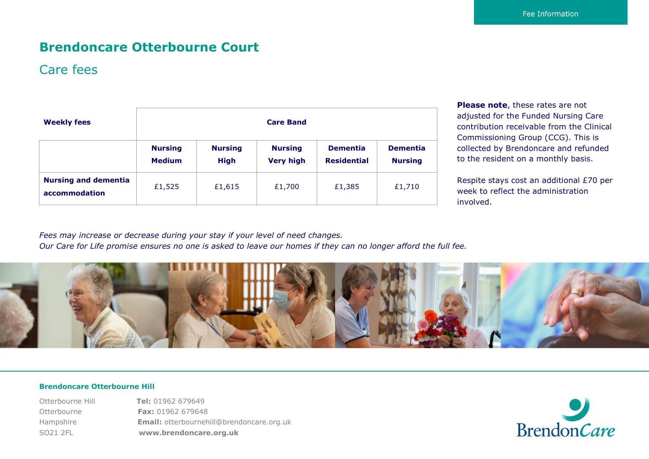# **Brendoncare Otterbourne Court**

### Care fees

| <b>Weekly fees</b>                           | <b>Care Band</b>                |                               |                                    |                                       |                                   |
|----------------------------------------------|---------------------------------|-------------------------------|------------------------------------|---------------------------------------|-----------------------------------|
|                                              | <b>Nursing</b><br><b>Medium</b> | <b>Nursing</b><br><b>High</b> | <b>Nursing</b><br><b>Very high</b> | <b>Dementia</b><br><b>Residential</b> | <b>Dementia</b><br><b>Nursing</b> |
| <b>Nursing and dementia</b><br>accommodation | £1,525                          | £1,615                        | £1,700                             | £1,385                                | £1,710                            |

**Please note**, these rates are not adjusted for the Funded Nursing Care contribution receivable from the Clinical Commissioning Group (CCG). This is collected by Brendoncare and refunded to the resident on a monthly basis.

Respite stays cost an additional £70 per week to reflect the administration involved.

*Fees may increase or decrease during your stay if your level of need changes. Our Care for Life promise ensures no one is asked to leave our homes if they can no longer afford the full fee.*



#### **Brendoncare Otterbourne Hill**

Otterbourne Hill **Tel:** 01962 679649 Otterbourne **Fax:** 01962 679648 Hampshire **Email:** otterbournehill@brendoncare.org.uk SO21 2FL **www.brendoncare.org.uk**